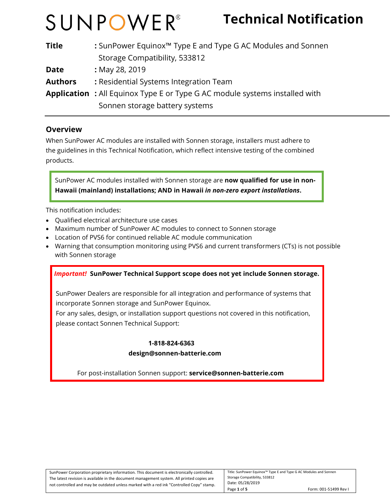## **Technical Notification**

| <b>Title</b>   | : SunPower Equinox <sup>™</sup> Type E and Type G AC Modules and Sonnen            |
|----------------|------------------------------------------------------------------------------------|
|                | Storage Compatibility, 533812                                                      |
| <b>Date</b>    | : May 28, 2019                                                                     |
| <b>Authors</b> | : Residential Systems Integration Team                                             |
|                | <b>Application</b> : All Equinox Type E or Type G AC module systems installed with |
|                | Sonnen storage battery systems                                                     |

#### **Overview**

When SunPower AC modules are installed with Sonnen storage, installers must adhere to the guidelines in this Technical Notification, which reflect intensive testing of the combined products.

SunPower AC modules installed with Sonnen storage are **now qualified for use in non-Hawaii (mainland) installations; AND in Hawaii** *in non-zero export installations***.** 

This notification includes:

- Qualified electrical architecture use cases
- Maximum number of SunPower AC modules to connect to Sonnen storage
- Location of PVS6 for continued reliable AC module communication
- Warning that consumption monitoring using PVS6 and current transformers (CTs) is not possible with Sonnen storage

#### *Important!* **SunPower Technical Support scope does not yet include Sonnen storage.**

SunPower Dealers are responsible for all integration and performance of systems that incorporate Sonnen storage and SunPower Equinox.

 For any sales, design, or installation support questions not covered in this notification, please contact Sonnen Technical Support:

#### **1-818-824-6363**

#### **design@sonnen-batterie.com**

For post-installation Sonnen support: **service@sonnen-batterie.com**

| SunPower Corporation proprietary information. This document is electronically controlled.  | Title: SunPower Equinox™ Type E and Type G AC Modules and Sonnen |                       |
|--------------------------------------------------------------------------------------------|------------------------------------------------------------------|-----------------------|
| The latest revision is available in the document management system. All printed copies are | Storage Compatibility, 533812                                    |                       |
| not controlled and may be outdated unless marked with a red ink "Controlled Copy" stamp.   | Date: 05/28/2019                                                 |                       |
|                                                                                            | Page 1 of 5                                                      | Form: 001-51499 Rev I |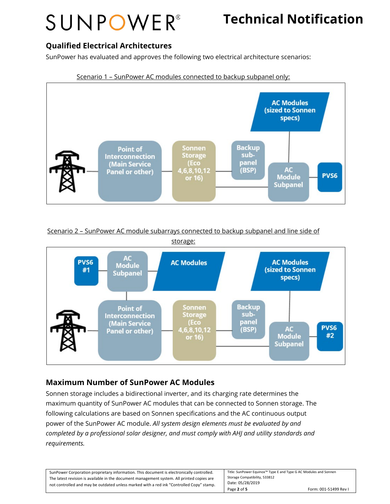## **Technical Notification**

### **Qualified Electrical Architectures**

SunPower has evaluated and approves the following two electrical architecture scenarios:



Scenario 2 – SunPower AC module subarrays connected to backup subpanel and line side of



### **Maximum Number of SunPower AC Modules**

Sonnen storage includes a bidirectional inverter, and its charging rate determines the maximum quantity of SunPower AC modules that can be connected to Sonnen storage. The following calculations are based on Sonnen specifications and the AC continuous output power of the SunPower AC module. *All system design elements must be evaluated by and completed by a professional solar designer, and must comply with AHJ and utility standards and requirements.*

| Title: SunPower Equinox™ Type E and Type G AC Modules and Sonnen<br>SunPower Corporation proprietary information. This document is electronically controlled. |                               |                       |
|---------------------------------------------------------------------------------------------------------------------------------------------------------------|-------------------------------|-----------------------|
| The latest revision is available in the document management system. All printed copies are                                                                    | Storage Compatibility, 533812 |                       |
| not controlled and may be outdated unless marked with a red ink "Controlled Copy" stamp.                                                                      | Date: 05/28/2019              |                       |
|                                                                                                                                                               | Page 2 of 5                   | Form: 001-51499 Rev I |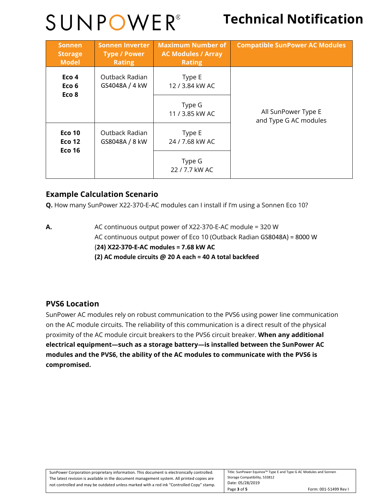## **Technical Notification**

| <b>Sonnen</b><br><b>Storage</b><br><b>Model</b>          | <b>Sonnen Inverter</b><br><b>Type / Power</b><br><b>Rating</b> | <b>Maximum Number of</b><br><b>AC Modules / Array</b><br><b>Rating</b> | <b>Compatible SunPower AC Modules</b>        |
|----------------------------------------------------------|----------------------------------------------------------------|------------------------------------------------------------------------|----------------------------------------------|
| Eco <sub>4</sub><br>Eco <sub>6</sub><br>Eco <sub>8</sub> | Outback Radian<br>GS4048A / 4 kW                               | Type E<br>12 / 3.84 kW AC                                              |                                              |
|                                                          |                                                                | Type G<br>11 / 3.85 kW AC                                              | All SunPower Type E<br>and Type G AC modules |
| <b>Eco 10</b><br><b>Eco 12</b>                           | Outback Radian<br>GS8048A / 8 kW                               | Type E<br>24 / 7.68 kW AC                                              |                                              |
| <b>Eco 16</b>                                            |                                                                | Type G<br>22 / 7.7 kW AC                                               |                                              |

### **Example Calculation Scenario**

**Q.** How many SunPower X22-370-E-AC modules can I install if I'm using a Sonnen Eco 10?

**A.** AC continuous output power of X22-370-E-AC module = 320 W AC continuous output power of Eco 10 (Outback Radian GS8048A) = 8000 W (**24) X22-370-E-AC modules = 7.68 kW AC (2) AC module circuits @ 20 A each = 40 A total backfeed**

### **PVS6 Location**

SunPower AC modules rely on robust communication to the PVS6 using power line communication on the AC module circuits. The reliability of this communication is a direct result of the physical proximity of the AC module circuit breakers to the PVS6 circuit breaker. **When any additional electrical equipment—such as a storage battery—is installed between the SunPower AC modules and the PVS6, the ability of the AC modules to communicate with the PVS6 is compromised.**

| SunPower Corporation proprietary information. This document is electronically controlled.  | Title: SunPower Equinox™ Type E and Type G AC Modules and Sonnen |                       |
|--------------------------------------------------------------------------------------------|------------------------------------------------------------------|-----------------------|
| The latest revision is available in the document management system. All printed copies are | Storage Compatibility, 533812                                    |                       |
| not controlled and may be outdated unless marked with a red ink "Controlled Copy" stamp.   | Date: 05/28/2019                                                 |                       |
|                                                                                            | Page 3 of 5                                                      | Form: 001-51499 Rev I |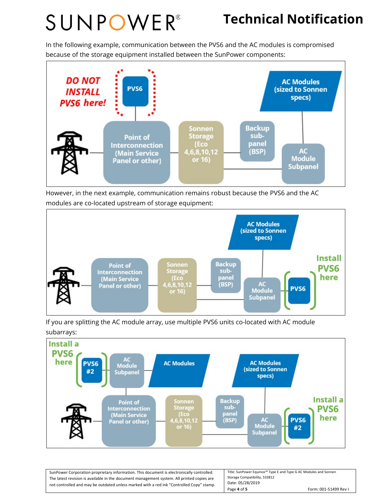## **Technical Notification**

In the following example, communication between the PVS6 and the AC modules is compromised because of the storage equipment installed between the SunPower components:



However, in the next example, communication remains robust because the PVS6 and the AC modules are co-located upstream of storage equipment:



If you are splitting the AC module array, use multiple PVS6 units co-located with AC module subarrays:



| SunPower Corporation proprietary information. This document is electronically controlled.  | Title: SunPower Equinox™ Type E and Type G AC Modules and Sonnen |                       |
|--------------------------------------------------------------------------------------------|------------------------------------------------------------------|-----------------------|
| The latest revision is available in the document management system. All printed copies are | Storage Compatibility, 533812                                    |                       |
| not controlled and may be outdated unless marked with a red ink "Controlled Copy" stamp.   | Date: 05/28/2019                                                 |                       |
|                                                                                            | Page 4 of 5                                                      | Form: 001-51499 Rev I |